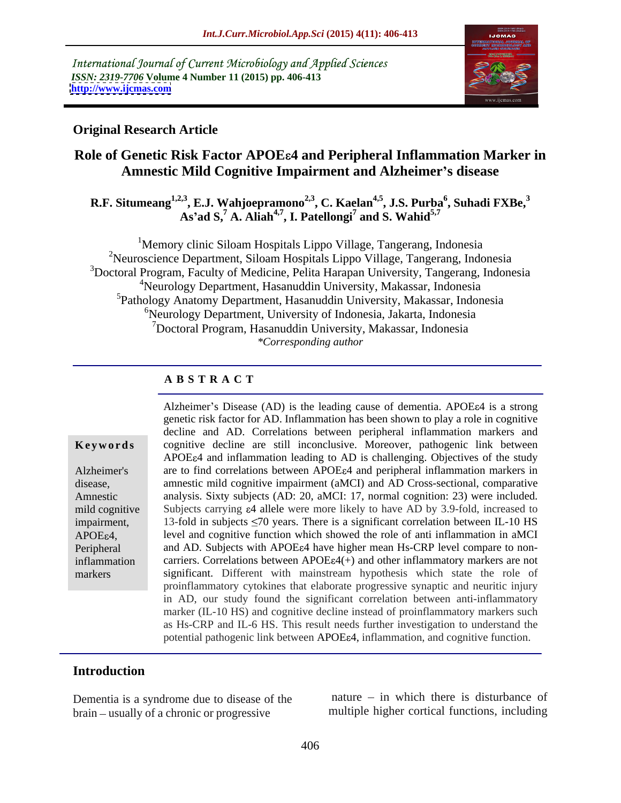International Journal of Current Microbiology and Applied Sciences *ISSN: 2319-7706* **Volume 4 Number 11 (2015) pp. 406-413 <http://www.ijcmas.com>**



### **Original Research Article**

# **Role of Genetic Risk Factor APOE 4 and Peripheral Inflammation Marker in Amnestic Mild Cognitive Impairment and Alzheimer s disease**

**R.F. Situmeang1,2,3 , E.J. Wahjoepramono2,3 , C. Kaelan4,5 , J.S. Purba<sup>6</sup> , Suhadi FXBe,<sup>3</sup> As ad S,<sup>7</sup> A. Aliah4,7 , I. Patellongi<sup>7</sup> and S. Wahid5,7**

<sup>1</sup>Memory clinic Siloam Hospitals Lippo Village, Tangerang, Indonesia 2Neuroscience Department, Siloam Hospitals Lippo Village, Tangerang, Indonesia <sup>3</sup>Doctoral Program, Faculty of Medicine, Pelita Harapan University, Tangerang, Indonesia 4Neurology Department, Hasanuddin University, Makassar, Indonesia <sup>5</sup>Pathology Anatomy Department, Hasanuddin University, Makassar, Indonesia  $6$ Neurology Department, University of Indonesia, Jakarta, Indonesia 7Doctoral Program, Hasanuddin University, Makassar, Indonesia *\*Corresponding author*

## **A B S T R A C T**

markers

Alzheimer's Disease  $(AD)$  is the leading cause of dementia. APOE $\varepsilon$ 4 is a strong genetic risk factor for AD. Inflammation has been shown to play a role in cognitive decline and AD. Correlations between peripheral inflammation markers and **Keywords** cognitive decline are still inconclusive. Moreover, pathogenic link between APOE 4 and inflammation leading to AD is challenging. Objectives of the study Alzheimer's are to find correlations between APOE a and peripheral inflammation markers in amnestic mild cognitive impairment (aMCI) and AD Cross-sectional, comparative disease, Amnestic analysis. Sixty subjects (AD: 20, aMCI: 17, normal cognition: 23) were included. mild cognitive Subjects carrying  $\varepsilon 4$  allele were more likely to have AD by 3.9-fold, increased to impairment, 13-fold in subjects  $\leq 70$  years. There is a significant correlation between IL-10 HS APOE<sub>64</sub>, level and cognitive function which showed the role of anti inflammation in aMCI Peripheral and AD. Subjects with APOE 4 have higher mean Hs-CRP level compare to noninflammation carriers. Correlations between APOE $\varepsilon$ 4(+) and other inflammatory markers are not significant. Different with mainstream hypothesis which state the role of proinflammatory cytokines that elaborate progressive synaptic and neuritic injury in AD, our study found the significant correlation between anti-inflammatory marker (IL-10 HS) and cognitive decline instead of proinflammatory markers such as Hs-CRP and IL-6 HS. This result needs further investigation to understand the potential pathogenic link between APOE 4, inflammation, and cognitive function.

### **Introduction**

Dementia is a syndrome due to disease of the brain – usually of a chronic or progressive

nature  $-$  in which there is disturbance of multiple higher cortical functions, including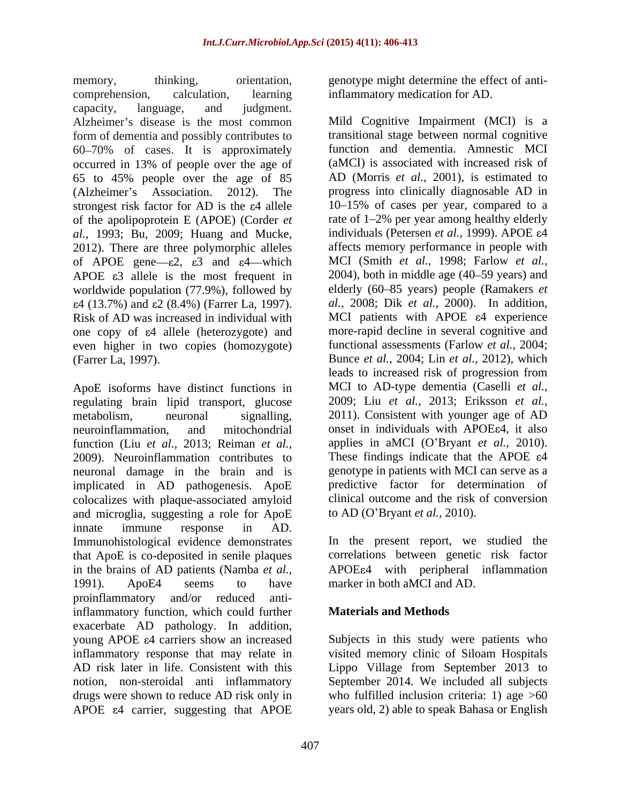memory, thinking, orientation, genotype might determine the effect of anticomprehension, calculation, learning inflammatory medication for AD. capacity, language, and judgment. Alzheimer's disease is the most common form of dementia and possibly contributes to 60 70% of cases. It is approximately occurred in 13% of people over the age of 65 to 45% people over the age of 85 strongest risk factor for AD is the  $\varepsilon$ 4 allele of the apolipoprotein E (APOE) (Corder *et al.,* 1993; Bu, 2009; Huang and Mucke, 2012). There are three polymorphic alleles of APOE gene  $-\varepsilon^2$ ,  $\varepsilon^3$  and  $\varepsilon^4$  which APOE  $\varepsilon$ 3 allele is the most frequent in worldwide population (77.9%), followed by  $\varepsilon$ 4 (13.7%) and  $\varepsilon$ 2 (8.4%) (Farrer La, 1997). Risk of AD was increased in individual with one copy of  $\varepsilon$ 4 allele (heterozygote) and even higher in two copies (homozygote)

ApoE isoforms have distinct functions in regulating brain lipid transport, glucose 2009). Neuroinflammation contributes to neuronal damage in the brain and is implicated in AD pathogenesis. ApoE colocalizes with plaque-associated amyloid clinical outcome and the risk<br>and microglia, suggesting a role for ApoE to AD (O'Bryant *et al.*, 2010). and microglia, suggesting a role for ApoE innate immune response in AD. Immunohistological evidence demonstrates In the present report, we studied the that ApoE is co-deposited in senile plaques in the brains of AD patients (Namba *et al.*, APOE 4 with peripheral inflammation 1991). ApoE4 seems to have marker in both aMCI and AD. proinflammatory and/or reduced antiinflammatory function, which could further **Materials and Methods** exacerbate AD pathology. In addition, young APOE  $\varepsilon$ 4 carriers show an increased Subjects in this study were patients who inflammatory response that may relate in AD risk later in life. Consistent with this Lippo Village from September 2013 to notion, non-steroidal anti inflammatory September 2014. We included all subjects drugs were shown to reduce AD risk only in who fulfilled inclusion criteria: 1) age >60 APOE  $\varepsilon$ 4 carrier, suggesting that APOE years old, 2) able to speak Bahasa or English

(Alzheimer's Association. 2012). The progress into clinically diagnosable AD in (Farrer La, 1997). Bunce *et al.,* 2004; Lin *et al.,* 2012), which metabolism, neuronal signalling, 2011). Consistent with younger age of AD neuroinflammation, and mitochondrial onset in individuals with APOE e4, it also function (Liu *et al.,* 2013; Reiman *et al.,* applies in aMCI (O Bryant *et al.,* 2010). Mild Cognitive Impairment (MCI) is a transitional stage between normal cognitive function and dementia. Amnestic MCI (aMCI) is associated with increased risk of AD (Morris *et al.,* 2001), is estimated to 10 15% of cases per year, compared to a rate of 1–2% per year among healthy elderly individuals (Petersen *et al.*, 1999). APOE ε4 affects memory performance in peoplewith MCI (Smith *et al.,* 1998; Farlow *et al.,*  $2004$ ), both in middle age  $(40-59 \text{ years})$  and elderly (60 85 years) people (Ramakers *et al.,* 2008; Dik *et al.,* 2000). In addition, MCI patients with APOE  $\varepsilon$ 4 experience more-rapid decline in several cognitive and functional assessments (Farlow *et al.,* 2004; leads to increased risk of progression from MCI to AD-type dementia (Caselli *et al.,* 2009; Liu *et al.,* 2013; Eriksson *et al.,* These findings indicate that the APOE  $\varepsilon$ 4 genotype in patients with MCI can serve as a predictive factor for determination of clinical outcome and the risk of conversion to AD (O Bryant *et al.,* 2010).

> correlations between genetic risk factor marker in both aMCI and AD.

## **Materials and Methods**

visited memory clinic of Siloam Hospitals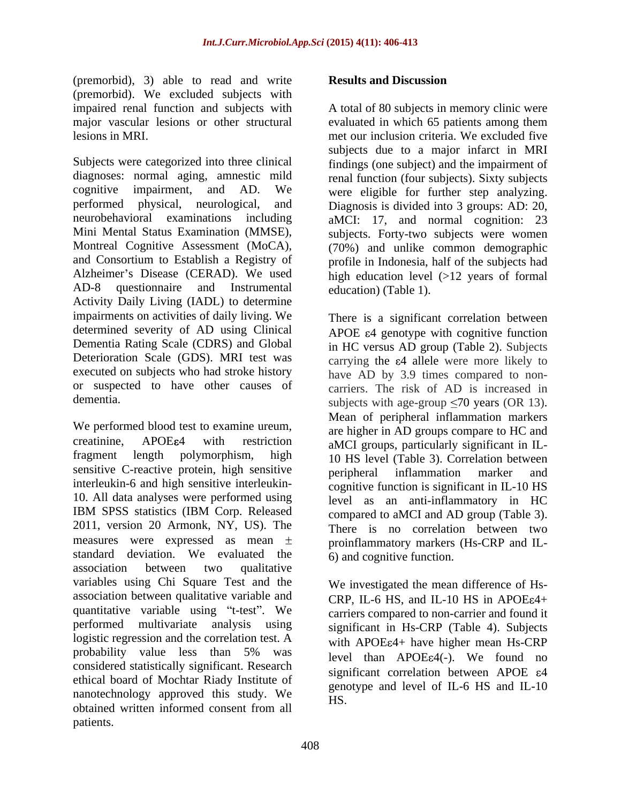(premorbid), 3) able to read and write **Results and Discussion** (premorbid). We excluded subjects with

diagnoses: normal aging, amnestic mild renal function (four subjects). Sixty subjects cognitive impairment, and AD. We were eligible for further step analyzing. performed physical, neurological, and Diagnosis is divided into 3 groups: AD: 20, neurobehavioral examinations including aMCI: 17, and normal cognition: 23 Mini Mental Status Examination (MMSE), Montreal Cognitive Assessment (MoCA), (70%) and unlike common demographic and Consortium to Establish a Registry of profile in Indonesia, half of the subjects had Alzheimer's Disease (CERAD). We used high education level (>12 years of formal AD-8 questionnaire and Instrumental education (Table 1). Activity Daily Living (IADL) to determine impairments on activities of daily living. We There is a significant correlation between determined severity of AD using Clinical Dementia Rating Scale (CDRS) and Global Deterioration Scale (GDS). MRI test was carrying the  $\varepsilon$ 4 allele were more likely to executed on subjects who had stroke history or suspected to have other causes of

We performed blood test to examine ureum, creatinine, APOE 64 with restriction aMCI groups, particularly significant in ILfragment length polymorphism, high 10 HS level (Table 3). Correlation between sensitive C-reactive protein, high sensitive peripheral inflammation marker and interleukin-6 and high sensitive interleukin- 10. All data analyses were performed using IBM SPSS statistics (IBM Corp. Released compared to aMCI and AD group (Table 3). 2011, version 20 Armonk, NY, US). The There is no correlation between two measures were expressed as mean  $\pm$  proinflammatory markers (Hs-CRP and ILstandard deviation. We evaluated the association between two qualitative variables using Chi Square Test and the association between qualitative variable and quantitative variable using "t-test". We performed multivariate analysis using logistic regression and the correlation test. A probability value less than 5% was  $_{\text{level, then}}$   $_{\text{APOEcA(-)}}$  We found no considered statistically significant. Research ethical board of Mochtar Riady Institute of nanotechnology approved this study. We obtained written informed consent from all (presuming the results and write **Results and (presumedial)**, 3) and is resulted and host windown in the second and we consider the consideration of the state of the state of the state of the state of the state of the stat

impaired renal function and subjects with A total of 80 subjects in memory clinic were major vascular lesions or other structural evaluated in which 65 patients among them lesions in MRI.<br>Subjects were categorized into three clinical subjects due to a major infarct in MRI<br>Subjects were categorized into three clinical findings (one subject) and the impairment of met our inclusion criteria. We excluded five subjects due to a major infarct in MRI findings (one subject) and the impairment of subjects. Forty-two subjects were women education) (Table 1).

dementia. Subjects with age-group  $\leq 70$  years (OR 13). APOE  $\varepsilon$ 4 genotype with cognitive function in HC versus AD group (Table 2). Subjects have AD by 3.9 times compared to noncarriers. The risk of AD is increased in Mean of peripheral inflammation markers are higher in AD groups compare to HC and peripheral inflammation marker and cognitive function is significant in IL-10 HS level as an anti-inflammatory in HC compared to aMCI and AD group (Table 3). There is no correlation between two 6) and cognitive function.

> We investigated the mean difference of Hs- CRP, IL-6 HS, and IL-10 HS in APOE $\varepsilon$ 4+ carriers compared to non-carrier and found it significant in Hs-CRP (Table 4). Subjects with  $APOE\varepsilon_4$ + have higher mean Hs-CRP level than  $APOEE4(-)$ . We found no significant correlation between APOE  $\varepsilon$ 4 genotype and level of IL-6 HS and IL-10 HS.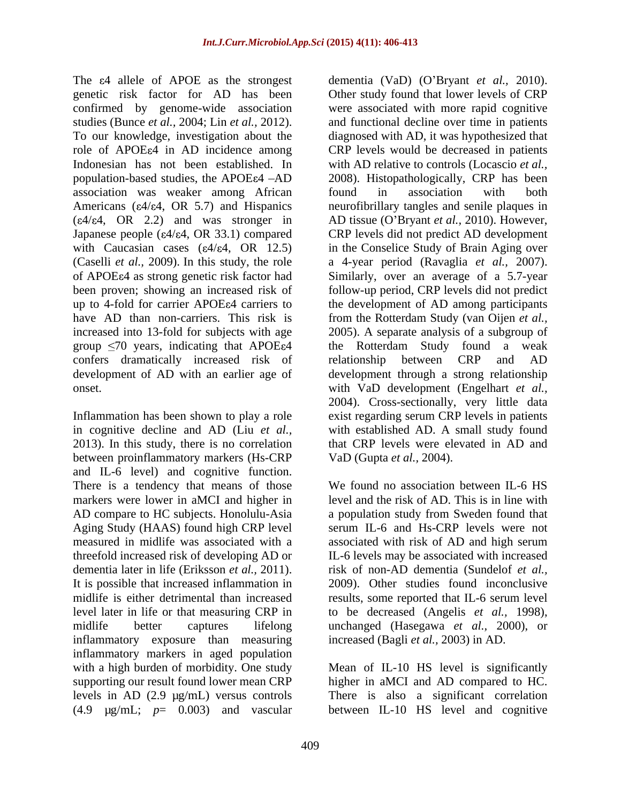association was weaker among African Americans ( $\varepsilon$ 4/ $\varepsilon$ 4, OR 5.7) and Hispanics confers dramatically increased risk of relationship between CRP and AD

Inflammation has been shown to play a role in cognitive decline and AD (Liu *et al.,* between proinflammatory markers (Hs-CRP VaD (Gupta et al., 2004). and IL-6 level) and cognitive function. markers were lower in aMCI and higher in measured in midlife was associated with a sassociated with risk of AD and high serum inflammatory exposure than measuring inflammatory markers in aged population with a high burden of morbidity. One study supporting our result found lower mean CRP higher in aMCI and AD compared to HC. levels in AD (2.9 µg/mL) versus controls There is also a significant correlation (4.9 µg/mL; *p*= 0.003) and vascular between IL-10 HS level and cognitive

The  $\varepsilon$ 4 allele of APOE as the strongest dementia (VaD) (O'Bryant *et al.*, 2010). genetic risk factor for AD has been Other study found that lower levels of CRP confirmed by genome-wide association were associated with more rapid cognitive studies (Bunce *et al.,* 2004; Lin *et al.,* 2012). and functional decline over time in patients To our knowledge, investigation about the diagnosed with AD, it was hypothesized that role of APOE a in AD incidence among CRP levels would be decreased in patients Indonesian has not been established. In with AD relative to controls (Locascio *et al.,* population-based studies, the APOE 4 -AD 2008). Histopathologically, CRP has been  $(\varepsilon 4/\varepsilon 4, \text{ OR } 2.2)$  and was stronger in AD tissue (O'Bryant *et al.*, 2010). However, Japanese people ( $\varepsilon$ 4/ $\varepsilon$ 4, OR 33.1) compared CRP levels did not predict AD development with Caucasian cases  $(\epsilon 4/\epsilon 4, \text{ OR } 12.5)$  in the Conselice Study of Brain Aging over (Caselli *et al.,* 2009). In this study, the role a 4-year period (Ravaglia *et al.,* 2007). of APOE 4 as strong genetic risk factor had Similarly, over an average of a 5.7-year been proven; showing an increased risk of follow-up period, CRP levels did not predict up to 4-fold for carrier APOE 4 carriers to the development of AD among participants have AD than non-carriers. This risk is from the Rotterdam Study (van Oijen *et al.,* increased into 13-fold for subjects with age 2005). A separate analysis of a subgroup of group  $\leq 70$  years, indicating that APOE $\varepsilon 4$  the Rotterdam Study found a weak development of AD with an earlier age of development through a strong relationship onset. with VaD development (Engelhart *et al.,* 2013). In this study, there is no correlation that CRP levels were elevated in AD and found in association with both neurofibrillary tangles and senile plaques in relationship between CRP and AD 2004). Cross-sectionally, very little data exist regarding serum CRP levels in patients with established AD. A small study found VaD (Gupta *et al.,* 2004).

There is a tendency that means of those We found no association between IL-6 HS AD compare to HC subjects. Honolulu-Asia a population study from Sweden found that Aging Study (HAAS) found high CRP level serum IL-6 and Hs-CRP levels were not threefold increased risk of developing AD or IL-6 levels may be associated with increased dementia later in life (Eriksson *et al.,* 2011). risk of non-AD dementia (Sundelof *et al.,* It is possible that increased inflammation in 2009). Other studies found inconclusive midlife is either detrimental than increased results, some reported that IL-6 serum level level later in life or that measuring CRP in to be decreased (Angelis *et al.,* 1998), midlife better captures lifelong unchanged (Hasegawa *et al.,* 2000), or level and the risk of AD. This is in line with associated with risk of AD and high serum increased (Bagli *et al.,* 2003) in AD.

Mean of IL-10 HS level is significantly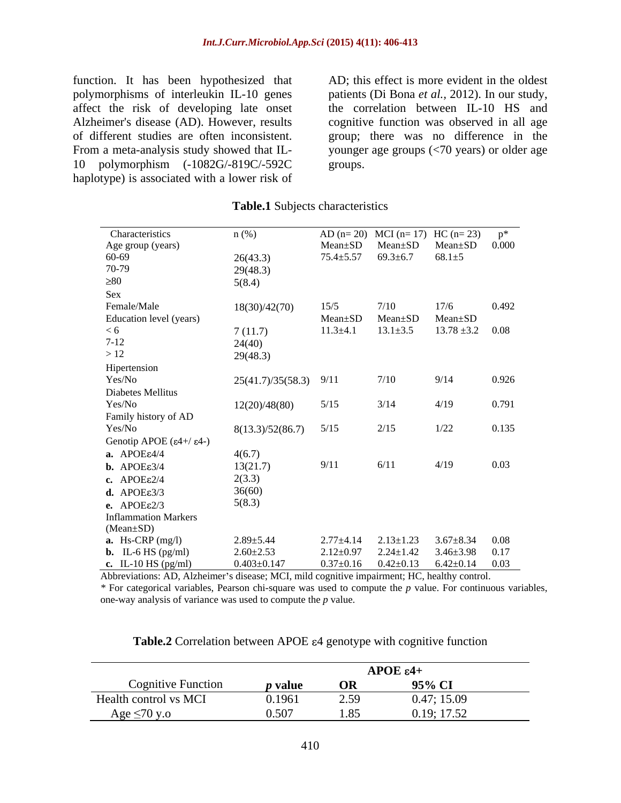function. It has been hypothesized that affect the risk of developing late onset 10 polymorphism (-1082G/-819C/-592C haplotype) is associated with a lower risk of

polymorphisms of interleukin IL-10 genes patients (Di Bona *et al.,* 2012). In our study, Alzheimer's disease (AD). However, results cognitive function was observed in all age of different studies are often inconsistent. group; there was no difference in the From a meta-analysis study showed that IL- younger age groups (<70 years) or older age AD; this effect is more evident in the oldest the correlation between IL-10 HS and groups.

| Characteristics                                    | $n$ (%)                   |                 | AD (n= 20) MCI (n= 17) HC (n= 23)                      |                                      | $p^*$ |
|----------------------------------------------------|---------------------------|-----------------|--------------------------------------------------------|--------------------------------------|-------|
| Age group (years)<br>60-69                         |                           | Mean±SD         | $Mean \pm SD$ $Mean \pm SD$ $0.000$                    |                                      |       |
|                                                    | 26(43.3)                  |                 | $75.4 \pm 5.57$ $69.3 \pm 6.7$ $68.1 \pm 5$            |                                      |       |
| 70-79                                              | 29(48.3)                  |                 |                                                        |                                      |       |
| $\geq\!\!80$                                       | 5(8.4)                    |                 |                                                        |                                      |       |
| Sex                                                |                           |                 |                                                        |                                      |       |
| Female/Male                                        | 18(30)/42(70)             | 15/5            | 7/10                                                   | 17/6                                 | 0.492 |
| Education level (years)                            |                           | Mean±SD         | Mean+SD                                                | Mean±SD                              |       |
| < 6                                                | 7(11.7)                   | $11.3 \pm 4.1$  | $13.1 \pm 3.5$                                         | $13.78 \pm 3.2$ 0.08                 |       |
|                                                    | 24(40)                    |                 |                                                        |                                      |       |
| $7-12$<br>> 12                                     | 29(48.3)                  |                 |                                                        |                                      |       |
|                                                    |                           |                 |                                                        |                                      |       |
| Hipertension<br>Yes/No                             |                           |                 | 7/10                                                   | 9/14                                 | 0.926 |
|                                                    | $25(41.7)/35(58.3)$ 9/11  |                 |                                                        |                                      |       |
| Diabetes Mellitus                                  |                           |                 |                                                        |                                      |       |
| Yes/No                                             | 12(20)/48(80)             | 5/15            | 3/14                                                   | 4/19                                 | 0.791 |
| Family history of AD                               |                           |                 |                                                        |                                      |       |
| Yes/No                                             | $8(13.3)/52(86.7)$ $5/15$ |                 | 2/15                                                   | 1/22                                 | 0.135 |
| Genotip APOE ( $\varepsilon$ 4+/ $\varepsilon$ 4-) |                           |                 |                                                        |                                      |       |
| a. $APOEE4/4$                                      | 4(6.7)                    |                 |                                                        |                                      |       |
| <b>b.</b> APOE $\varepsilon$ 3/4                   | 13(21.7)                  | 9/11            | 6/11                                                   | 4/19                                 | 0.03  |
| c. $APOE\epsilon$ 2/4                              | 2(3.3)                    |                 |                                                        |                                      |       |
| $d.$ APOE $\varepsilon$ 3/3                        | 36(60)                    |                 |                                                        |                                      |       |
| e. $APOE\epsilon$ 2/3                              | 5(8.3)                    |                 |                                                        |                                      |       |
| <b>Inflammation Markers</b>                        |                           |                 |                                                        |                                      |       |
| $(Mean \pm SD)$                                    |                           |                 |                                                        |                                      |       |
| <b>a.</b> Hs-CRP $(mg/l)$                          | $2.89 + 5.44$             | $2.77 \pm 4.14$ | $2.13 \pm 1.23$                                        | $3.67 \pm 8.34$ 0.08                 |       |
|                                                    | $2.60 \pm 2.53$           | $2.12 \pm 0.97$ |                                                        | $2.24 \pm 1.42$ $3.46 \pm 3.98$ 0.17 |       |
| <b>b.</b> IL-6 HS $(pg/ml)$                        | $0.403 \pm 0.147$         |                 |                                                        |                                      |       |
| c. IL-10 HS (pg/ml)                                |                           |                 | $0.37 \pm 0.16$ $0.42 \pm 0.13$ $6.42 \pm 0.14$ $0.03$ |                                      |       |

### **Table.1** Subjects characteristics

Abbreviations: AD, Alzheimer's disease; MCI, mild cognitive impairment; HC, healthy control.

*\** For categorical variables, Pearson chi-square was used to compute the *p* value. For continuous variables, one-way analysis of variance was used to compute the *p* value.

|                                                                  |             |         | $APOEE$ $\varepsilon$ 4+ |
|------------------------------------------------------------------|-------------|---------|--------------------------|
| $\frac{1}{2}$ Cognitive Function $\frac{1}{2}$ <b>p</b> value OR |             |         | $95\%$ CI                |
| Health control vs MCI                                            | $-1$ 0.1961 | 1012.59 | 0.47; 15.09              |
| Age $\leq 70$ y.o                                                |             | 1.85    | 0.19; 17.52              |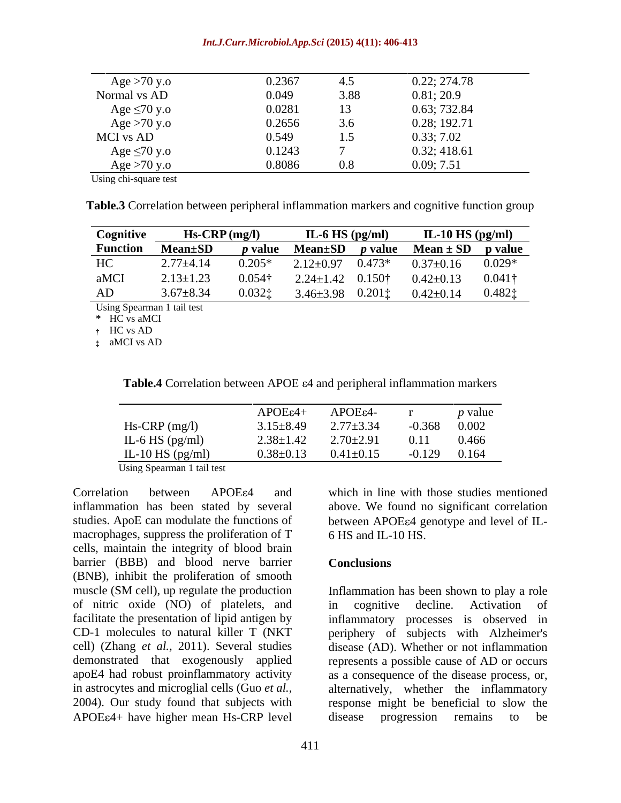### *Int.J.Curr.Microbiol.App.Sci* **(2015) 4(11): 406-413**

| Age $>70$ y.o     | 0.2367 |      | 0.22; 274.78 |
|-------------------|--------|------|--------------|
| Normal vs AD      | 0.049  | 3.88 | 0.81; 20.9   |
| Age $\leq 70$ y.o | 0.0281 | 13   | 0.63; 732.84 |
| Age $>70$ y.o     | 0.2656 | 3.6  | 0.28; 192.71 |
| MCI vs AD         | 0.549  | 1.5  | 0.33; 7.02   |
| Age $\leq 70$ y.o | 0.1243 |      | 0.32; 418.61 |
| Age $>70$ y.o     | 0.8086 | 0.8  | 0.09; 7.51   |

Using chi-square test

**Table.3** Correlation between peripheral inflammation markers and cognitive function group

| Cognitive | $Hs-CRP$ (mg/l)                                                                                 |                                          | IL-6 HS $(pg/ml)$ | IL-10 HS $(pg/ml)$                                        |  |
|-----------|-------------------------------------------------------------------------------------------------|------------------------------------------|-------------------|-----------------------------------------------------------|--|
|           | Function Mean $\pm$ SD <i>p</i> value Mean $\pm$ SD <i>p</i> value Mean $\pm$ SD <i>p</i> value |                                          |                   |                                                           |  |
|           | $HC$ 2.77 $\pm$ 4.14                                                                            | $0.205*$ 2.12±0.97 0.473*                |                   | $0.37 \pm 0.16$ $0.029*$                                  |  |
| aMCI      | $2.13 \pm 1.23$                                                                                 | $0.054\dagger$ 2.24±1.42 0.150 $\dagger$ |                   | $0.42 \pm 0.13$ $0.041\dagger$                            |  |
| AD        | $3.67 \pm 8.34$                                                                                 |                                          |                   | $0.032$ ; $3.46\pm3.98$ $0.201$ ; $0.42\pm0.14$ $0.482$ ; |  |

Using Spearman 1 tail test

**\*** HC vs aMCI

HC vs AD

aMCI vs AD

| Table 4 C<br>Correlation between APOE $\varepsilon$ 4 and periphera<br>al inflammation<br>markers |
|---------------------------------------------------------------------------------------------------|
|                                                                                                   |

|                        | APOE <sub>ε4</sub> | APOE <sub>84</sub> - |                | <i>p</i> value |
|------------------------|--------------------|----------------------|----------------|----------------|
| Hs-CRP (mg/l)          | $3.15 \pm 8.49$    | $2.77 \pm 3.34$      | $-0.368$       | 0.002          |
| IL-6 HS (pg/ml)        | $2.38 \pm 1.42$    | $2.70 \pm 2.91$      | 0.11           | 0.466          |
| IL-10 HS $(pg/ml)$     | $0.38 \pm 0.13$    | $0.41 \pm 0.15$      | 0.129<br>v. 12 | 0.164          |
| __ . _ _ _ _ _ _ _ _ _ |                    |                      |                |                |

Using Spearman 1 tail test

inflammation has been stated by several above. We found no significant correlation studies. ApoE can modulate the functions of between APOE ampropriate and level of ILmacrophages, suppress the proliferation of T 6 HS and IL-10 HS. cells, maintain the integrity of blood brain barrier (BBB) and blood nerve barrier Conclusions (BNB), inhibit the proliferation of smooth muscle (SM cell), up regulate the production Inflammation has been shown to play a role of nitric oxide (NO) of platelets, and facilitate the presentation of lipid antigen by inflammatory processes is observed in CD-1 molecules to natural killer T (NKT periphery of subjects with Alzheimer's cell) (Zhang *et al.,* 2011). Several studies disease (AD). Whether or not inflammation demonstrated that exogenously applied represents a possible cause of AD or occurs apoE4 had robust proinflammatory activity as a consequence of the disease process, or, in astrocytes and microglial cells (Guo *et al.,* alternatively, whether the inflammatory 2004). Our study found that subjects with response might be beneficial to slow the APOE  $4+$  have higher mean Hs-CRP level disease progression remains to be

Correlation between APOE and which in line with those studies mentioned 6 HS and IL-10 HS.

### **Conclusions**

in cognitive decline. Activation of disease progression remains to be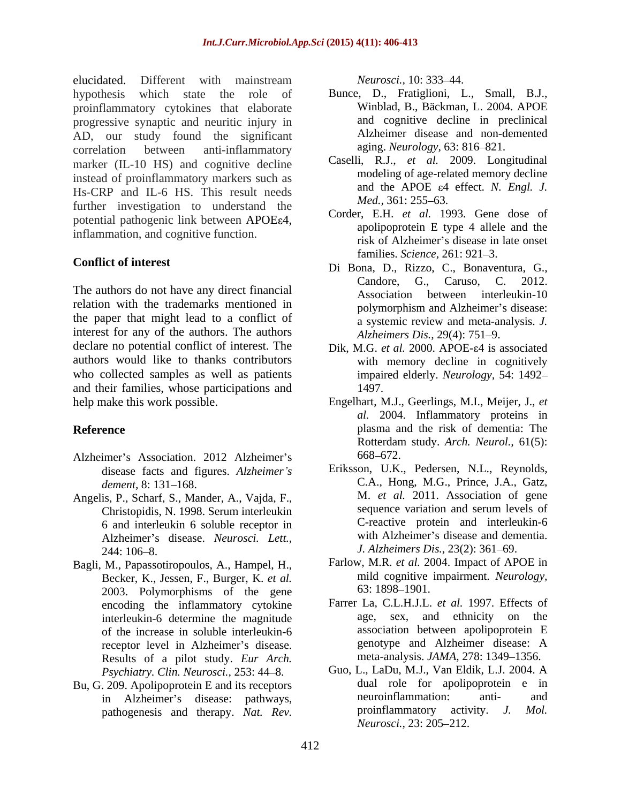elucidated. Different with mainstream *Neurosci.*, 10: 333–44. hypothesis which state the role of Bunce, D., Fratiglioni, L., Small, B.J., proinflammatory cytokines that elaborate progressive synaptic and neuritic injury in AD, our study found the significant correlation between anti-inflammatory aging. Neurology, 63: 816–821. marker (IL-10 HS) and cognitive decline instead of proinflammatory markers such as Hs-CRP and IL-6 HS. This result needs and the APOE  $\varepsilon$ 4 further investigation to understand the potential pathogenic link between APOE  $64$ , inflammation, and cognitive function. ated. Different with maintains therapy. **National Association** Accounts are the interaction of the significant and the significant and the significant and the significant and the significant and the significant and the sig

relation with the trademarks mentioned in polymorphism and Alzheimer's disease: the paper that might lead to a conflict of interest for any of the authors. The authors declare no potential conflict of interest. The authors would like to thanks contributors who collected samples as well as patients and their families, whose participations and  $1497$ .

- Alzheimer's Association. 2012 Alzheimer's 668–672. disease facts and figures. *Alzheimer s*
- Angelis, P., Scharf, S., Mander, A., Vajda, F., M. et al. 2011. Association of gene<br>Christopidis N 1998 Serum interleukin sequence variation and serum levels of Christopidis, N. 1998. Serum interleukin 6 and interleukin 6 soluble receptor in Alzheimer's disease. *Neurosci. Lett.*, 244: 106–8. 244: 106–8.
- Bagli, M., Papassotiropoulos, A., Hampel, H., Becker, K., Jessen, F., Burger, K. *et al.* mild cognitive<br>2003 Polymorphisms of the gene 63:1898–1901. 2003. Polymorphisms of the gene encoding the inflammatory cytokine interleukin-6 determine the magnitude receptor level in Alzheimer's disease. Results of a pilot study. *Eur Arch. Psychiatry. Clin. Neurosci., 253: 44-8.*
- 

- Winblad, B., Bäckman, L. 2004. APOE and cognitive decline in preclinical Alzheimer disease and non-demented aging. *Neurology*, 63: 816–821.
- Caselli, R.J., *et al.* 2009. Longitudinal modeling of age-related memory decline and the APOE  $\varepsilon$ 4 effect. *N. Engl. J. Med.,* 361: 255–63.
- Corder, E.H. *et al.* 1993. Gene dose of apolipoprotein E type 4 allele and the risk of Alzheimer's disease in late onset families. *Science*, 261: 921–3.
- **Conflict of interest**<br>
Di Bona, D., Rizzo, C., Bonaventura, G., The authors do not have any direct financial<br>Association between interleukin-10 Candore, G., Caruso, C. 2012. Association between interleukin-10 polymorphism and Alzheimer's disease: a systemic review and meta-analysis. *J. Alzheimers Dis., 29(4): 751-9.* 
	- Dik, M.G. *et al.* 2000. APOE- $\varepsilon$ 4 is associated with memory decline in cognitively impaired elderly. *Neurology,* 54: 1492 1497.
- help make this work possible. Engelhart, M.J., Geerlings, M.I., Meijer, J., *et*  **Reference** plasma and the risk of dementia: The *al.* 2004. Inflammatory proteins in Rotterdam study. *Arch. Neurol.,* 61(5): 668 672.
	- dement, 8: 131–168. **C.A., Hong, M.G., Prince, J.A., Gatz**, Eriksson, U.K., Pedersen, N.L., Reynolds, M. *et al.* 2011. Association of gene sequence variation and serum levels of C-reactive protein and interleukin-6 with Alzheimer's disease and dementia. *J. Alzheimers Dis., 23(2): 361–69.* 
		- Farlow, M.R. *et al.* 2004. Impact of APOE in mild cognitive impairment. *Neurology,* 63: 1898–1901.
	- of the increase in soluble interleukin-6 association between apolipoprotein E<br>recentor level in Alzheimer's disease genotype and Alzheimer disease: A Farrer La, C.L.H.J.L. *et al.* 1997. Effects of age, sex, and ethnicity on the association between apolipoprotein E genotype and Alzheimer disease: A meta-analysis. *JAMA*, 278: 1349–1356.
- Bu, G. 209. Apolipoprotein E and its receptors dual role for apolipoprotein e in<br>in Alzheimer's disease pathways neuroinflammation: anti-<br>and in Alzheimer's disease: pathways, neuroinflammation: anti-<br>pathogenesis and therapy. Nat. Rev. proinflammatory activity. J. Mol. Guo, L., LaDu, M.J., Van Eldik, L.J. 2004. A dual role for apolipoprotein e in neuroinflammation: anti- and proinflammatory activity. *J. Neurosci.,* 23: 205–212.